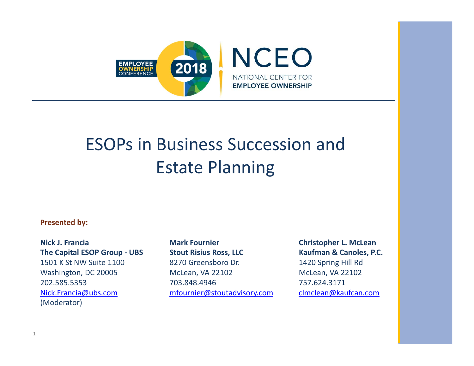

# ESOPs in Business Succession and Estate Planning

#### **Presented by:**

**Nick J. Francia Mark Fournier Christopher L. McLean The Capital ESOP Group ‐ UBS Stout Risius Ross, LLC Kaufman & Canoles, P.C.**  1501 K St NW Suite 1100 8270 Greensboro Dr. 1420 Spring Hill Rd Washington, DC 20005 McLean, VA 22102 McLean, VA 22102 202.585.5353 703.848.4946 757.624.3171 Nick.Francia@ubs.com mfournier@stoutadvisory.com clmclean@kaufcan.com (Moderator)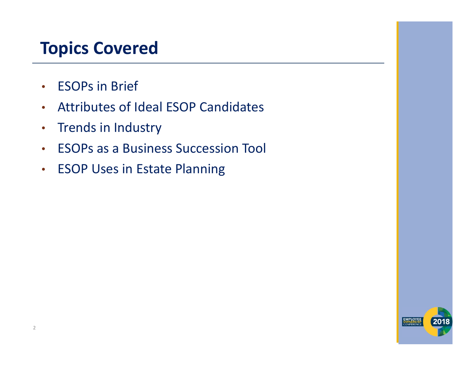## **Topics Covered**

- •ESOPs in Brief
- •Attributes of Ideal ESOP Candidates
- Trends in Industry
- ESOPs as a Business Succession Tool
- ESOP Uses in Estate Planning

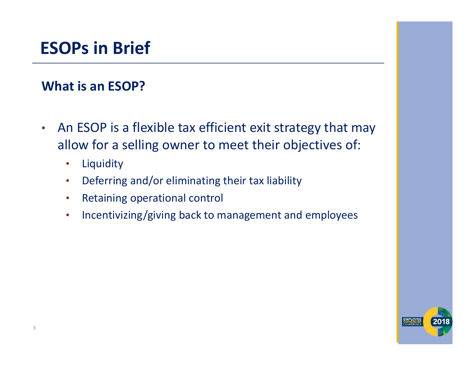#### **ESOPs in Brief**

#### **What is an ESOP?**

- • An ESOP is a flexible tax efficient exit strategy that may allow for a selling owner to meet their objectives of:
	- $\bullet$ Liquidity
	- •Deferring and/or eliminating their tax liability
	- $\bullet$ Retaining operational control
	- •Incentivizing/giving back to management and employees

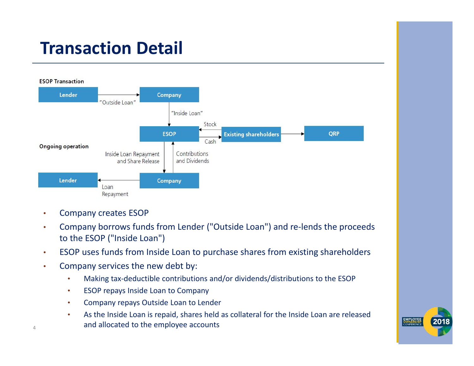## **Transaction Detail**



- •Company creates ESOP
- • Company borrows funds from Lender ("Outside Loan") and re‐lends the proceeds to the ESOP ("Inside Loan")
- •ESOP uses funds from Inside Loan to purchase shares from existing shareholders
- • Company services the new debt by:
	- •Making tax‐deductible contributions and/or dividends/distributions to the ESOP
	- •ESOP repays Inside Loan to Company
	- •Company repays Outside Loan to Lender
	- • As the Inside Loan is repaid, shares held as collateral for the Inside Loan are released and allocated to the employee accounts

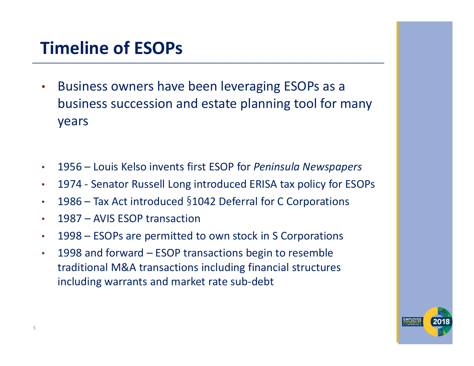## **Timeline of ESOPs**

- • Business owners have been leveraging ESOPs as a business succession and estate planning tool for many years
- •1956 – Louis Kelso invents first ESOP for *Peninsula Newspapers*
- •1974 ‐ Senator Russell Long introduced ERISA tax policy for ESOPs
- •1986 – Tax Act introduced §1042 Deferral for C Corporations
- •1987 – AVIS ESOP transaction
- •1998 – ESOPs are permitted to own stock in S Corporations
- • 1998 and forward – ESOP transactions begin to resemble traditional M&A transactions including financial structures including warrants and market rate sub‐debt

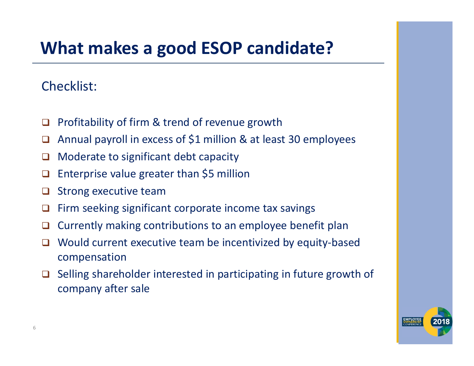### **What makes a good ESOP candidate?**

#### Checklist:

- $\Box$ Profitability of firm & trend of revenue growth
- $\Box$ Annual payroll in excess of \$1 million & at least 30 employees
- □ Moderate to significant debt capacity
- $\Box$ Enterprise value greater than \$5 million
- $\Box$ Strong executive team
- □ Firm seeking significant corporate income tax savings
- $\Box$ Currently making contributions to an employee benefit plan
- $\Box$  Would current executive team be incentivized by equity‐based compensation
- $\Box$  Selling shareholder interested in participating in future growth of company after sale

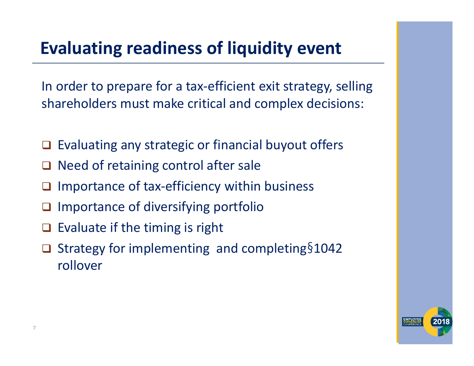## **Evaluating readiness of liquidity event**

In order to prepare for a tax-efficient exit strategy, selling shareholders must make critical and complex decisions:

- $\Box$ Evaluating any strategic or financial buyout offers
- $\Box$ Need of retaining control after sale
- $\Box$ Importance of tax‐efficiency within business
- $\Box$ Importance of diversifying portfolio
- $\Box$ Evaluate if the timing is right
- $\Box$ □ Strategy for implementing and completing§1042 rollover

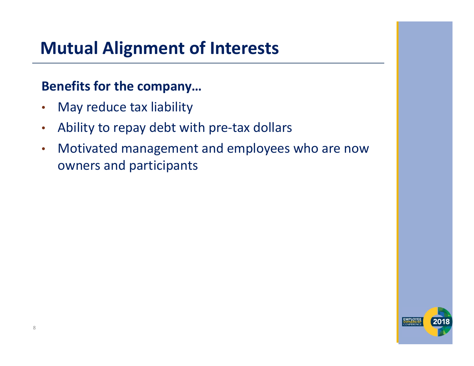## **Mutual Alignment of Interests**

#### **Benefits for the company…**

- $\bullet$ May reduce tax liability
- •Ability to repay debt with pre‐tax dollars
- $\bullet$  Motivated management and employees who are now owners and participants

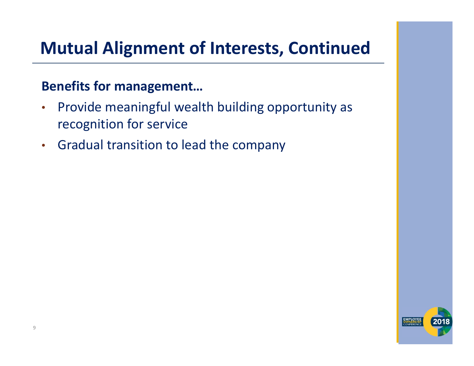### **Mutual Alignment of Interests, Continued**

#### **Benefits for management…**

- $\bullet$  Provide meaningful wealth building opportunity as recognition for service
- Gradual transition to lead the company

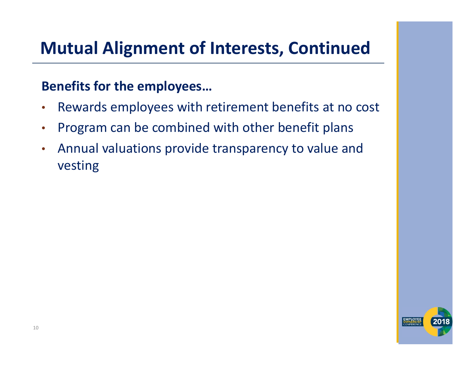#### **Mutual Alignment of Interests, Continued**

#### **Benefits for the employees…**

- $\bullet$ Rewards employees with retirement benefits at no cost
- •Program can be combined with other benefit plans
- $\bullet$  Annual valuations provide transparency to value and vesting

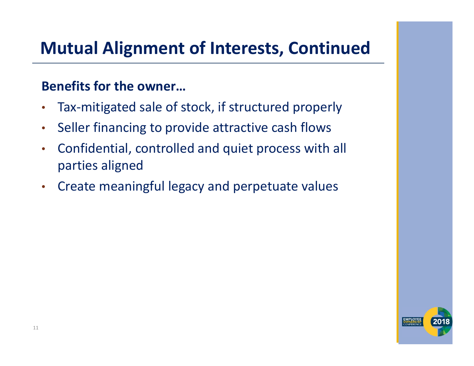### **Mutual Alignment of Interests, Continued**

#### **Benefits for the owner…**

- $\bullet$ Tax‐mitigated sale of stock, if structured properly
- •Seller financing to provide attractive cash flows
- • Confidential, controlled and quiet process with all parties aligned
- $\bullet$ Create meaningful legacy and perpetuate values

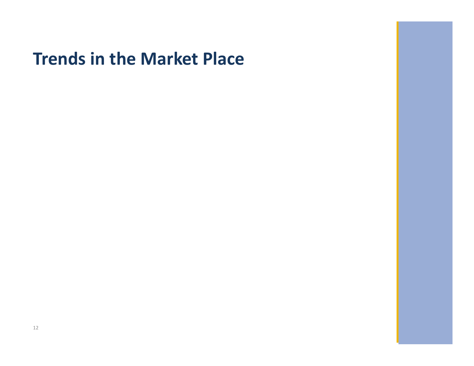#### **Trends in the Market Place**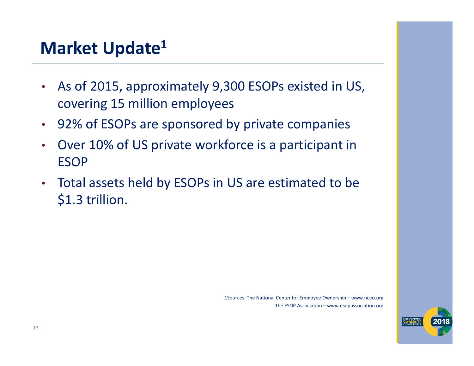#### **Market Update1**

- • As of 2015, approximately 9,300 ESOPs existed in US, covering 15 million employees
- 92% of ESOPs are sponsored by private companies
- • Over 10% of US private workforce is a participant in ESOP
- Total assets held by ESOPs in US are estimated to be \$1.3 trillion.

1Sources: The National Center for Employee Ownership – www.nceo.org The ESOP Association – www.esopassociation.org

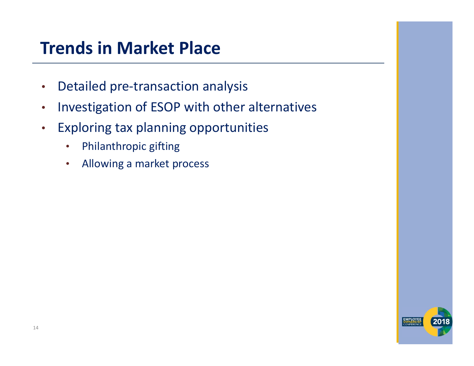#### **Trends in Market Place**

- •Detailed pre‐transaction analysis
- $\bullet$ Investigation of ESOP with other alternatives
- $\bullet$  Exploring tax planning opportunities
	- •Philanthropic gifting
	- •Allowing a market process

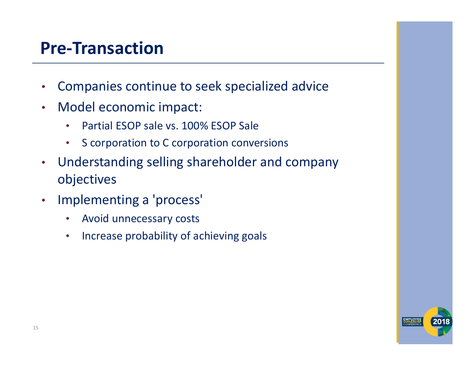#### **Pre‐Transaction**

- •Companies continue to seek specialized advice
- $\bullet$  Model economic impact:
	- •Partial ESOP sale vs. 100% ESOP Sale
	- $\bullet$ S corporation to C corporation conversions
- • Understanding selling shareholder and company objectives
- $\bullet$  Implementing a 'process'
	- •Avoid unnecessary costs
	- •Increase probability of achieving goals

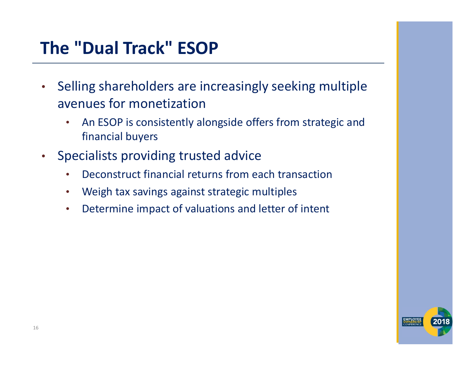## **The "Dual Track" ESOP**

- $\bullet$  Selling shareholders are increasingly seeking multiple avenues for monetization
	- • An ESOP is consistently alongside offers from strategic and financial buyers
- $\bullet$  Specialists providing trusted advice
	- •Deconstruct financial returns from each transaction
	- •Weigh tax savings against strategic multiples
	- •Determine impact of valuations and letter of intent

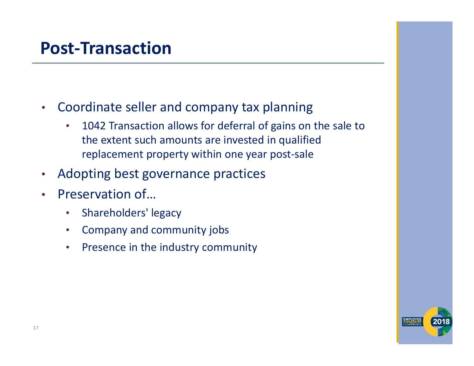#### **Post‐Transaction**

- $\bullet$  Coordinate seller and company tax planning
	- $\bullet$  1042 Transaction allows for deferral of gains on the sale to the extent such amounts are invested in qualified replacement property within one year post‐sale
- •Adopting best governance practices
- • Preservation of…
	- •Shareholders' legacy
	- •Company and community jobs
	- •Presence in the industry community

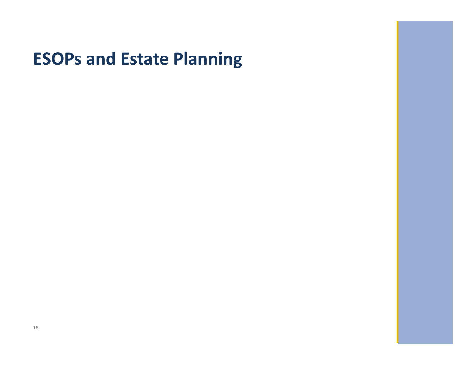#### **ESOPs and Estate Planning**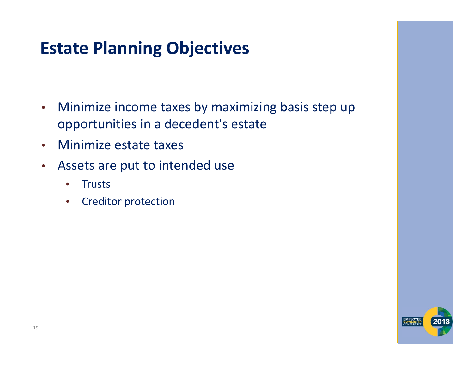### **Estate Planning Objectives**

- $\bullet$  Minimize income taxes by maximizing basis step up opportunities in a decedent's estate
- •Minimize estate taxes
- • Assets are put to intended use
	- •**Trusts**
	- •Creditor protection

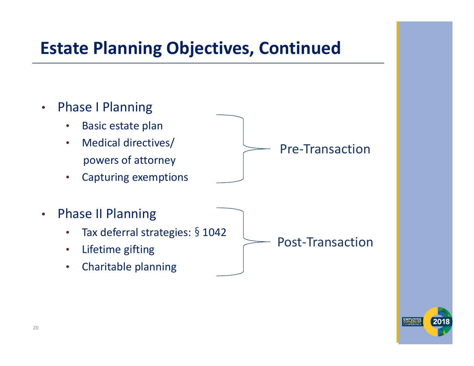#### **Estate Planning Objectives, Continued**



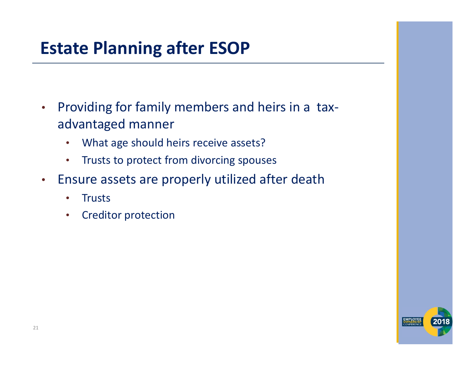### **Estate Planning after ESOP**

- $\bullet$  Providing for family members and heirs in a tax‐ advantaged manner
	- •What age should heirs receive assets?
	- •Trusts to protect from divorcing spouses
- • Ensure assets are properly utilized after death
	- •**Trusts**
	- •Creditor protection

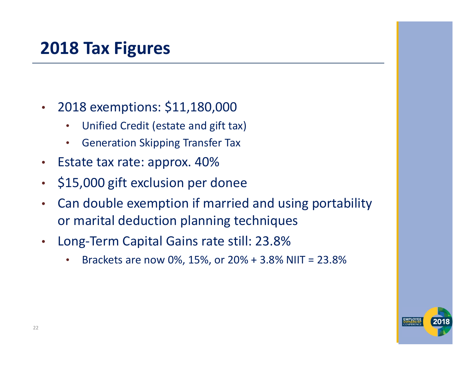### **2018 Tax Figures**

- • 2018 exemptions: \$11,180,000
	- •Unified Credit (estate and gift tax)
	- •Generation Skipping Transfer Tax
- $\bullet$ Estate tax rate: approx. 40%
- $\bullet$ \$15,000 gift exclusion per donee
- • Can double exemption if married and using portability or marital deduction planning techniques
- $\bullet$  Long‐Term Capital Gains rate still: 23.8%
	- •Brackets are now 0%, 15%, or 20% + 3.8% NIIT = 23.8%

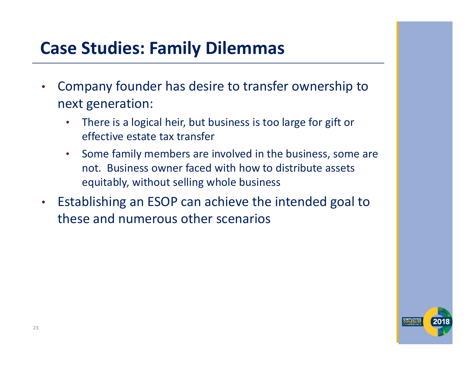### **Case Studies: Family Dilemmas**

- • Company founder has desire to transfer ownership to next generation:
	- • There is a logical heir, but business is too large for gift or effective estate tax transfer
	- $\bullet$  Some family members are involved in the business, some are not. Business owner faced with how to distribute assets equitably, without selling whole business
- $\bullet$  Establishing an ESOP can achieve the intended goal to these and numerous other scenarios

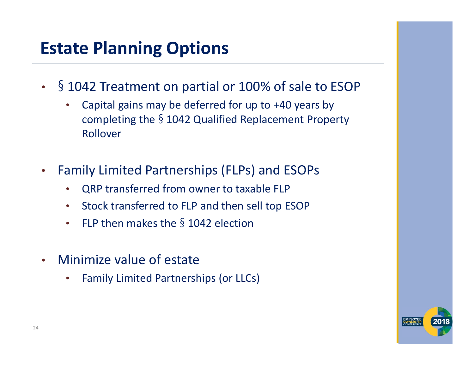### **Estate Planning Options**

- • § 1042 Treatment on partial or 100% of sale to ESOP
	- • Capital gains may be deferred for up to +40 years by completing the § 1042 Qualified Replacement Property Rollover
- $\bullet$  Family Limited Partnerships (FLPs) and ESOPs
	- •QRP transferred from owner to taxable FLP
	- $\bullet$ Stock transferred to FLP and then sell top ESOP
	- •FLP then makes the  $\frac{6}{3}$  1042 election
- • Minimize value of estate
	- •Family Limited Partnerships (or LLCs)

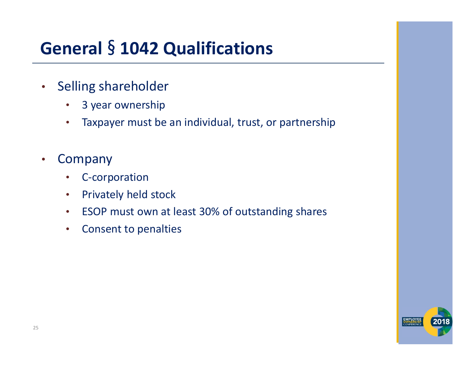# **General** § **1042 Qualifications**

- • Selling shareholder
	- •3 year ownership
	- •Taxpayer must be an individual, trust, or partnership
- • Company
	- •C‐corporation
	- •Privately held stock
	- $\bullet$ ESOP must own at least 30% of outstanding shares
	- •Consent to penalties

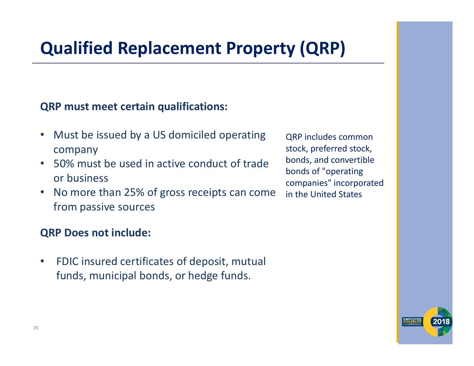## **Qualified Replacement Property (QRP)**

#### **QRP must meet certain qualifications:**

- $\bullet$  Must be issued by a US domiciled operating company
- $\bullet$  50% must be used in active conduct of trade or business
- $\bullet$  No more than 25% of gross receipts can come from passive sources

#### **QRP Does not include:**

 $\bullet$  FDIC insured certificates of deposit, mutual funds, municipal bonds, or hedge funds.

QRP includes common stock, preferred stock, bonds, and convertible bonds of "operating companies" incorporated in the United States

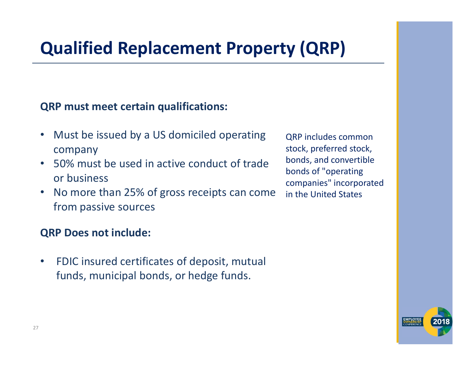## **Qualified Replacement Property (QRP)**

#### **QRP must meet certain qualifications:**

- $\bullet$  Must be issued by a US domiciled operating company
- $\bullet$  50% must be used in active conduct of trade or business
- $\bullet$  No more than 25% of gross receipts can come from passive sources

#### **QRP Does not include:**

 $\bullet$  FDIC insured certificates of deposit, mutual funds, municipal bonds, or hedge funds.

QRP includes common stock, preferred stock, bonds, and convertible bonds of "operating companies" incorporated in the United States

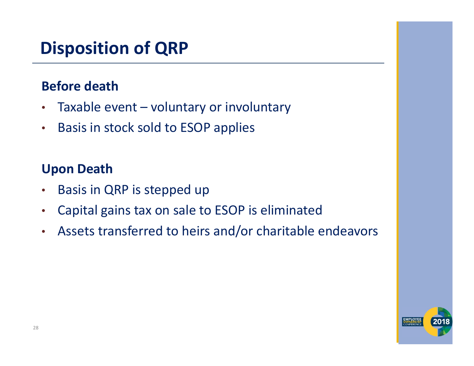# **Disposition of QRP**

#### **Before death**

- $\bullet$ Taxable event – voluntary or involuntary
- $\bullet$ Basis in stock sold to ESOP applies

#### **Upon Death**

- •Basis in QRP is stepped up
- •Capital gains tax on sale to ESOP is eliminated
- •Assets transferred to heirs and/or charitable endeavors

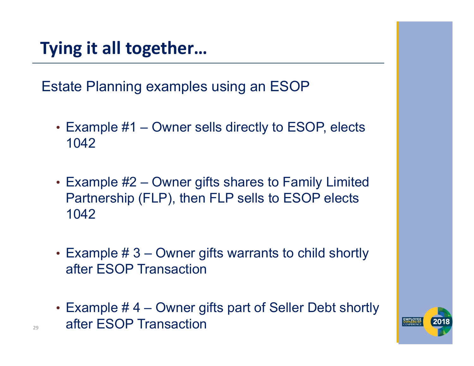**Tying it all together…**

Estate Planning examples using an ESOP

- Example #1 Owner sells directly to ESOP, elects 1042
- Example #2 Owner gifts shares to Family Limited Partnership (FLP), then FLP sells to ESOP elects 1042
- Example # 3 Owner gifts warrants to child shortly after ESOP Transaction
- Example # 4 Owner gifts part of Seller Debt shortly after ESOP Transaction

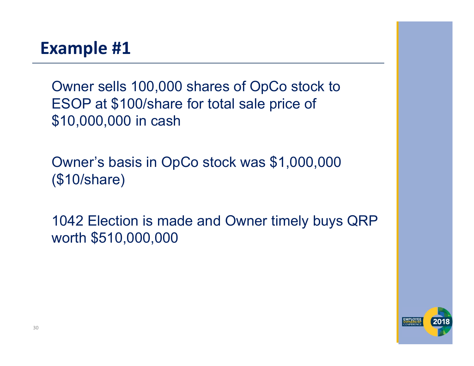#### **Example #1**

Owner sells 100,000 shares of OpCo stock to ESOP at \$100/share for total sale price of \$10,000,000 in cash

Owner's basis in OpCo stock was \$1,000,000 (\$10/share)

1042 Election is made and Owner timely buys QRP worth \$510,000,000

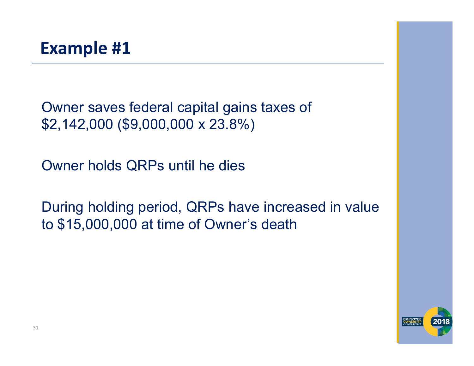Owner saves federal capital gains taxes of \$2,142,000 (\$9,000,000 x 23.8%)

Owner holds QRPs until he dies

During holding period, QRPs have increased in value to \$15,000,000 at time of Owner's death

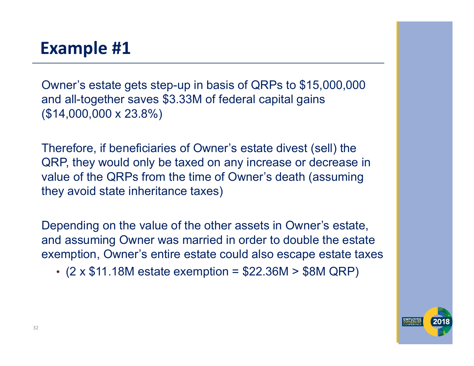#### **Example #1**

Owner's estate gets step-up in basis of QRPs to \$15,000,000 and all-together saves \$3.33M of federal capital gains (\$14,000,000 x 23.8%)

Therefore, if beneficiaries of Owner's estate divest (sell) the QRP, they would only be taxed on any increase or decrease in value of the QRPs from the time of Owner's death (assuming they avoid state inheritance taxes)

Depending on the value of the other assets in Owner's estate, and assuming Owner was married in order to double the estate exemption, Owner's entire estate could also escape estate taxes

• (2 x \$11.18M estate exemption = \$22.36M > \$8M QRP)

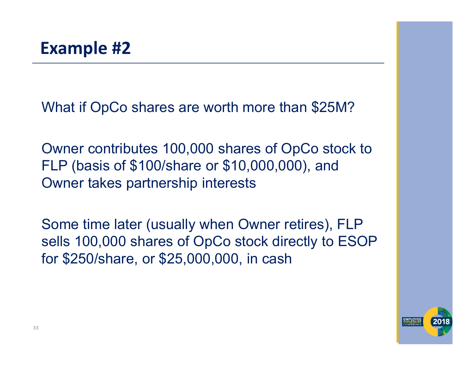What if OpCo shares are worth more than \$25M?

Owner contributes 100,000 shares of OpCo stock to FLP (basis of \$100/share or \$10,000,000), and Owner takes partnership interests

Some time later (usually when Owner retires), FLP sells 100,000 shares of OpCo stock directly to ESOP for \$250/share, or \$25,000,000, in cash

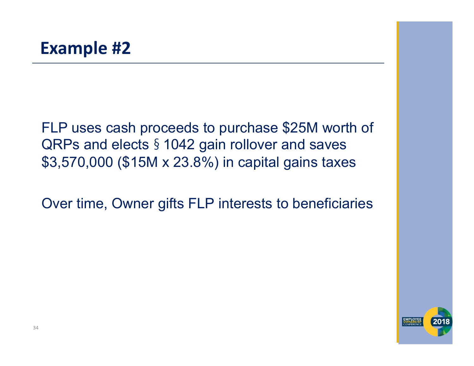FLP uses cash proceeds to purchase \$25M worth of QRPs and elects § 1042 gain rollover and saves \$3,570,000 (\$15M x 23.8%) in capital gains taxes

Over time, Owner gifts FLP interests to beneficiaries

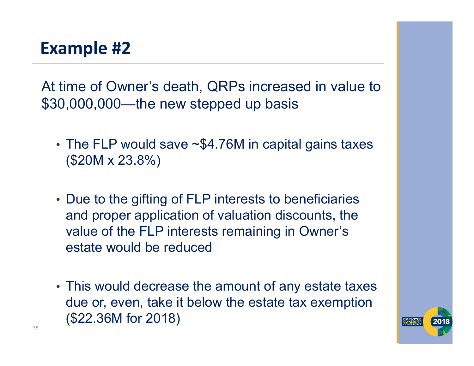At time of Owner's death, QRPs increased in value to \$30,000,000—the new stepped up basis

- •• The FLP would save ~\$4.76M in capital gains taxes (\$20M x 23.8%)
- Due to the gifting of FLP interests to beneficiaries and proper application of valuation discounts, the value of the FLP interests remaining in Owner's estate would be reduced
- This would decrease the amount of any estate taxes due or, even, take it below the estate tax exemption (\$22.36M for 2018)

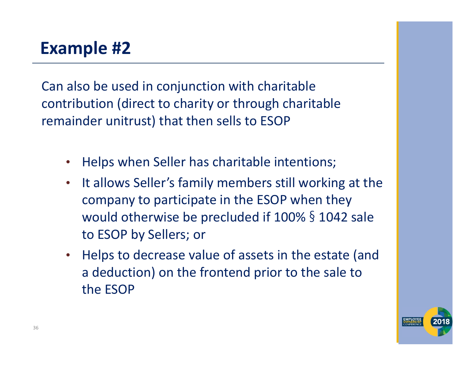#### **Example #2**

Can also be used in conjunction with charitable contribution (direct to charity or through charitable remainder unitrust) that then sells to ESOP

- $\bullet$ Helps when Seller has charitable intentions;
- $\bullet$  It allows Seller's family members still working at the company to participate in the ESOP when they would otherwise be precluded if 100% § 1042 sale to ESOP by Sellers; or
- $\bullet$  Helps to decrease value of assets in the estate (and a deduction) on the frontend prior to the sale to the ESOP

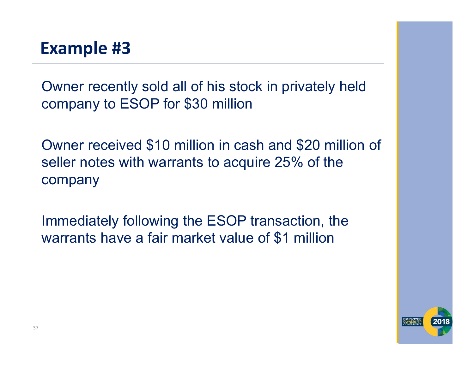Owner recently sold all of his stock in privately held company to ESOP for \$30 million

Owner received \$10 million in cash and \$20 million of seller notes with warrants to acquire 25% of the company

Immediately following the ESOP transaction, the warrants have a fair market value of \$1 million

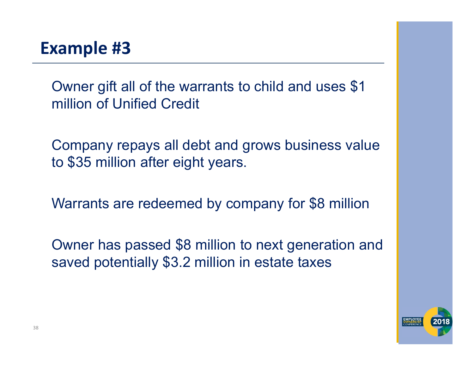Owner gift all of the warrants to child and uses \$1 million of Unified Credit

Company repays all debt and grows business value to \$35 million after eight years.

Warrants are redeemed by company for \$8 million

Owner has passed \$8 million to next generation and saved potentially \$3.2 million in estate taxes

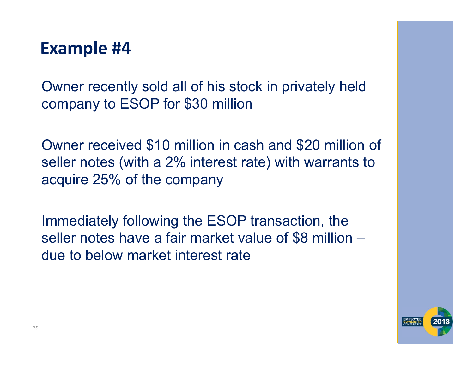Owner recently sold all of his stock in privately held company to ESOP for \$30 million

Owner received \$10 million in cash and \$20 million of seller notes (with a 2% interest rate) with warrants to acquire 25% of the company

Immediately following the ESOP transaction, the seller notes have a fair market value of \$8 million – due to below market interest rate

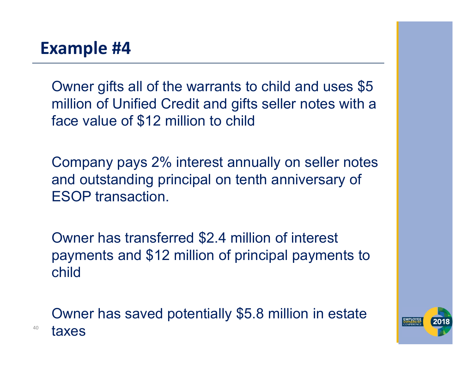40

Owner gifts all of the warrants to child and uses \$5 million of Unified Credit and gifts seller notes with a face value of \$12 million to child

Company pays 2% interest annually on seller notes and outstanding principal on tenth anniversary of ESOP transaction.

Owner has transferred \$2.4 million of interest payments and \$12 million of principal payments to child

Owner has saved potentially \$5.8 million in estate taxes

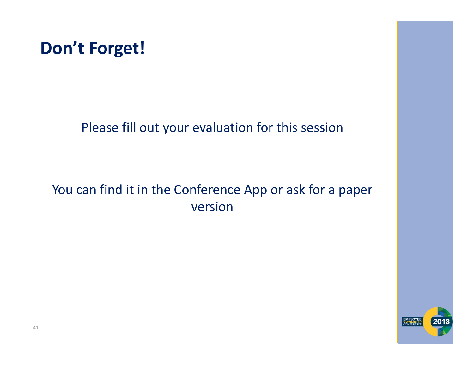#### Please fill out your evaluation for this session

#### You can find it in the Conference App or ask for a paper version